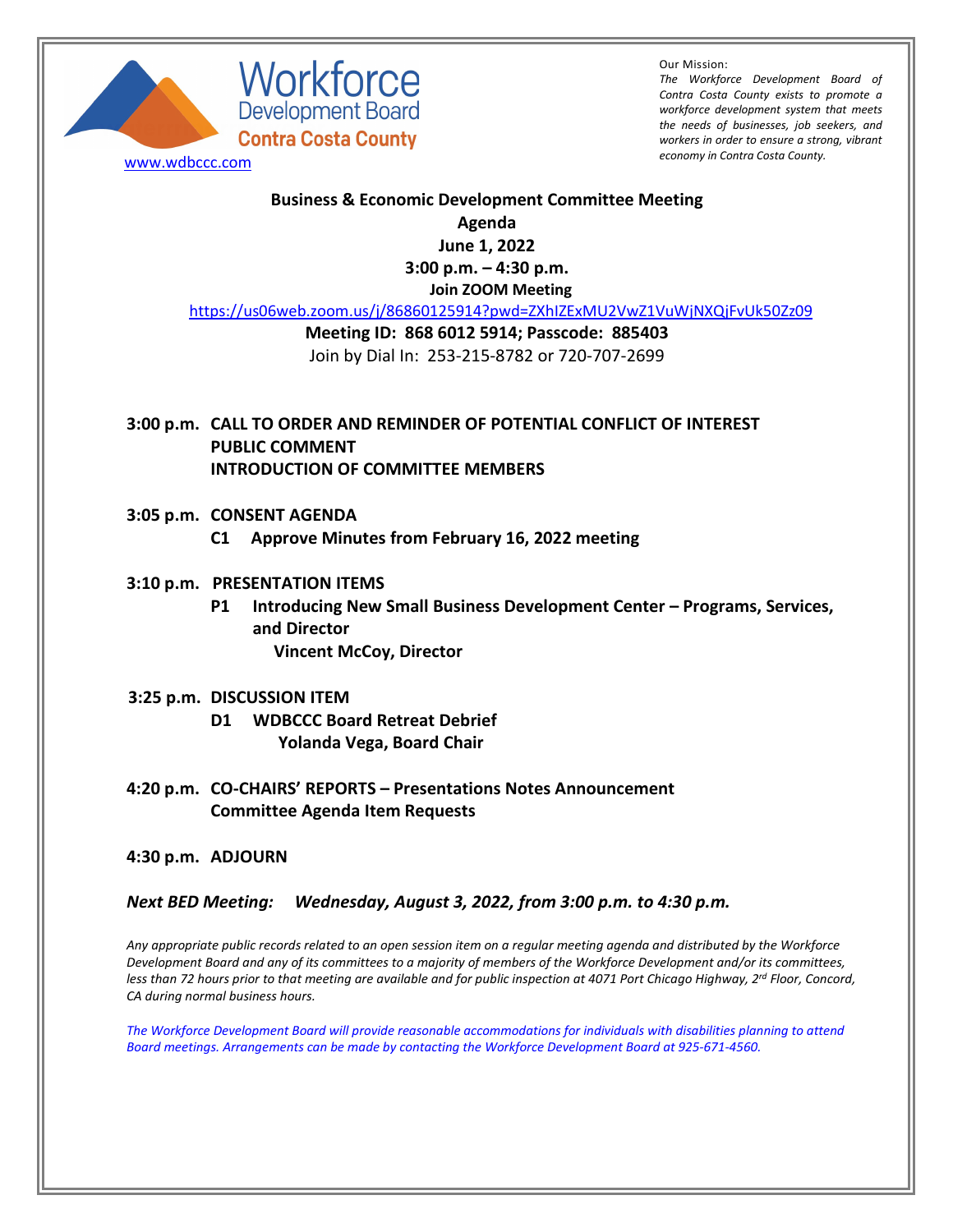

Workforce **Development Board<br>Contra Costa County** 

Our Mission:

*The Workforce Development Board of Contra Costa County exists to promote a workforce development system that meets the needs of businesses, job seekers, and workers in order to ensure a strong, vibrant economy in Contra Costa County.* [www.wdbccc.com](http://www.wdbccc.com/)

## **Business & Economic Development Committee Meeting**

**Agenda**

**June 1, 2022 3:00 p.m. – 4:30 p.m.**

**Join ZOOM Meeting**

<https://us06web.zoom.us/j/86860125914?pwd=ZXhIZExMU2VwZ1VuWjNXQjFvUk50Zz09>

## **Meeting ID: 868 6012 5914; Passcode: 885403** Join by Dial In: 253-215-8782 or 720-707-2699

- **3:00 p.m. CALL TO ORDER AND REMINDER OF POTENTIAL CONFLICT OF INTEREST PUBLIC COMMENT INTRODUCTION OF COMMITTEE MEMBERS**
- **3:05 p.m. CONSENT AGENDA**
	- **C1 Approve Minutes from February 16, 2022 meeting**

## **3:10 p.m. PRESENTATION ITEMS**

**P1 Introducing New Small Business Development Center – Programs, Services, and Director Vincent McCoy, Director** 

## **3:25 p.m. DISCUSSION ITEM**

- **D1 WDBCCC Board Retreat Debrief Yolanda Vega, Board Chair**
- **4:20 p.m. CO-CHAIRS' REPORTS – Presentations Notes Announcement Committee Agenda Item Requests**

**4:30 p.m. ADJOURN**

*Next BED Meeting: Wednesday, August 3, 2022, from 3:00 p.m. to 4:30 p.m.*

*Any appropriate public records related to an open session item on a regular meeting agenda and distributed by the Workforce Development Board and any of its committees to a majority of members of the Workforce Development and/or its committees, less than 72 hours prior to that meeting are available and for public inspection at 4071 Port Chicago Highway, 2rd Floor, Concord, CA during normal business hours.*

*The Workforce Development Board will provide reasonable accommodations for individuals with disabilities planning to attend Board meetings. Arrangements can be made by contacting the Workforce Development Board at 925-671-4560.*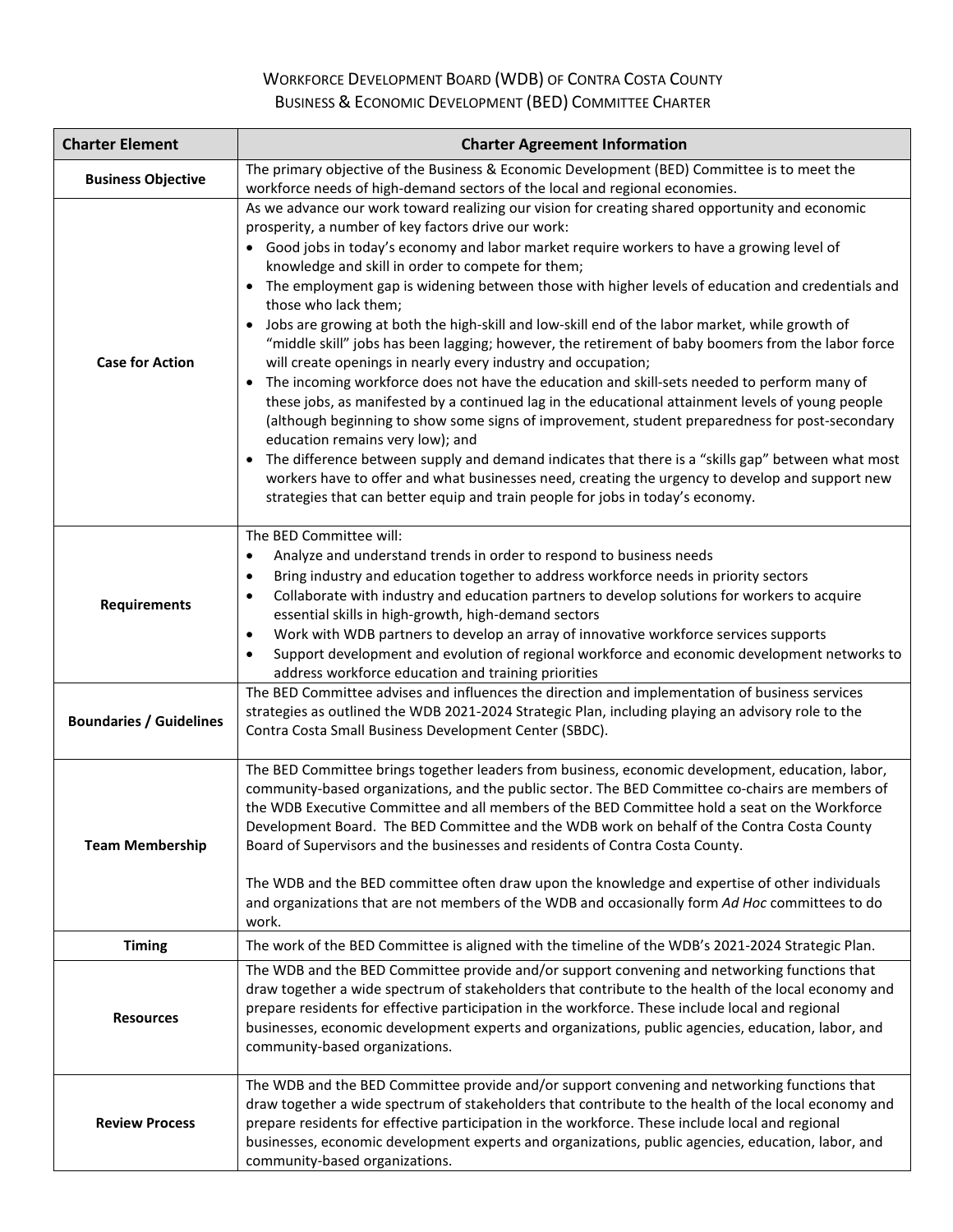# WORKFORCE DEVELOPMENT BOARD (WDB) OF CONTRA COSTA COUNTY BUSINESS & ECONOMIC DEVELOPMENT (BED) COMMITTEE CHARTER

| <b>Charter Element</b>         | <b>Charter Agreement Information</b>                                                                                                                                                                                                                                                                                                                                                                                                                                                                                                                                                                                                                                                                                                                                                                                                                                                                                                                                                                                                                                                                                                                                                                                                                                                                                                                            |
|--------------------------------|-----------------------------------------------------------------------------------------------------------------------------------------------------------------------------------------------------------------------------------------------------------------------------------------------------------------------------------------------------------------------------------------------------------------------------------------------------------------------------------------------------------------------------------------------------------------------------------------------------------------------------------------------------------------------------------------------------------------------------------------------------------------------------------------------------------------------------------------------------------------------------------------------------------------------------------------------------------------------------------------------------------------------------------------------------------------------------------------------------------------------------------------------------------------------------------------------------------------------------------------------------------------------------------------------------------------------------------------------------------------|
| <b>Business Objective</b>      | The primary objective of the Business & Economic Development (BED) Committee is to meet the<br>workforce needs of high-demand sectors of the local and regional economies.                                                                                                                                                                                                                                                                                                                                                                                                                                                                                                                                                                                                                                                                                                                                                                                                                                                                                                                                                                                                                                                                                                                                                                                      |
| <b>Case for Action</b>         | As we advance our work toward realizing our vision for creating shared opportunity and economic<br>prosperity, a number of key factors drive our work:<br>• Good jobs in today's economy and labor market require workers to have a growing level of<br>knowledge and skill in order to compete for them;<br>The employment gap is widening between those with higher levels of education and credentials and<br>those who lack them;<br>Jobs are growing at both the high-skill and low-skill end of the labor market, while growth of<br>"middle skill" jobs has been lagging; however, the retirement of baby boomers from the labor force<br>will create openings in nearly every industry and occupation;<br>The incoming workforce does not have the education and skill-sets needed to perform many of<br>$\bullet$<br>these jobs, as manifested by a continued lag in the educational attainment levels of young people<br>(although beginning to show some signs of improvement, student preparedness for post-secondary<br>education remains very low); and<br>The difference between supply and demand indicates that there is a "skills gap" between what most<br>workers have to offer and what businesses need, creating the urgency to develop and support new<br>strategies that can better equip and train people for jobs in today's economy. |
| <b>Requirements</b>            | The BED Committee will:<br>Analyze and understand trends in order to respond to business needs<br>$\bullet$<br>Bring industry and education together to address workforce needs in priority sectors<br>$\bullet$<br>Collaborate with industry and education partners to develop solutions for workers to acquire<br>essential skills in high-growth, high-demand sectors<br>Work with WDB partners to develop an array of innovative workforce services supports<br>$\bullet$<br>Support development and evolution of regional workforce and economic development networks to<br>address workforce education and training priorities                                                                                                                                                                                                                                                                                                                                                                                                                                                                                                                                                                                                                                                                                                                            |
| <b>Boundaries / Guidelines</b> | The BED Committee advises and influences the direction and implementation of business services<br>strategies as outlined the WDB 2021-2024 Strategic Plan, including playing an advisory role to the<br>Contra Costa Small Business Development Center (SBDC).                                                                                                                                                                                                                                                                                                                                                                                                                                                                                                                                                                                                                                                                                                                                                                                                                                                                                                                                                                                                                                                                                                  |
| <b>Team Membership</b>         | The BED Committee brings together leaders from business, economic development, education, labor,<br>community-based organizations, and the public sector. The BED Committee co-chairs are members of<br>the WDB Executive Committee and all members of the BED Committee hold a seat on the Workforce<br>Development Board. The BED Committee and the WDB work on behalf of the Contra Costa County<br>Board of Supervisors and the businesses and residents of Contra Costa County.<br>The WDB and the BED committee often draw upon the knowledge and expertise of other individuals<br>and organizations that are not members of the WDB and occasionally form Ad Hoc committees to do<br>work.                                                                                                                                                                                                                                                                                                                                                                                                                                                                                                                                                                                                                                                              |
| <b>Timing</b>                  | The work of the BED Committee is aligned with the timeline of the WDB's 2021-2024 Strategic Plan.                                                                                                                                                                                                                                                                                                                                                                                                                                                                                                                                                                                                                                                                                                                                                                                                                                                                                                                                                                                                                                                                                                                                                                                                                                                               |
| <b>Resources</b>               | The WDB and the BED Committee provide and/or support convening and networking functions that<br>draw together a wide spectrum of stakeholders that contribute to the health of the local economy and<br>prepare residents for effective participation in the workforce. These include local and regional<br>businesses, economic development experts and organizations, public agencies, education, labor, and<br>community-based organizations.                                                                                                                                                                                                                                                                                                                                                                                                                                                                                                                                                                                                                                                                                                                                                                                                                                                                                                                |
| <b>Review Process</b>          | The WDB and the BED Committee provide and/or support convening and networking functions that<br>draw together a wide spectrum of stakeholders that contribute to the health of the local economy and<br>prepare residents for effective participation in the workforce. These include local and regional<br>businesses, economic development experts and organizations, public agencies, education, labor, and<br>community-based organizations.                                                                                                                                                                                                                                                                                                                                                                                                                                                                                                                                                                                                                                                                                                                                                                                                                                                                                                                |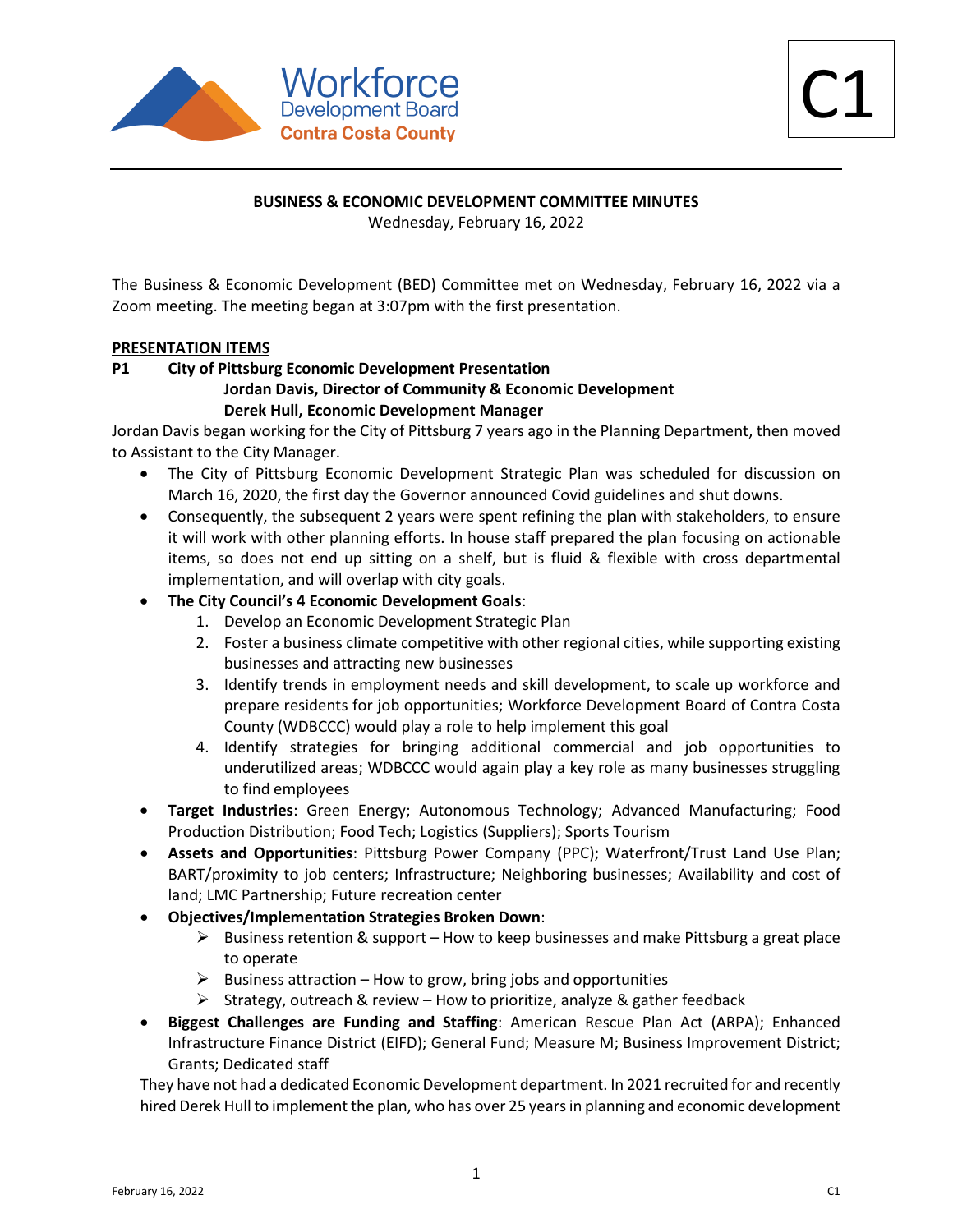

#### **BUSINESS & ECONOMIC DEVELOPMENT COMMITTEE MINUTES**

Wednesday, February 16, 2022

The Business & Economic Development (BED) Committee met on Wednesday, February 16, 2022 via a Zoom meeting. The meeting began at 3:07pm with the first presentation.

#### **PRESENTATION ITEMS**

## **P1 City of Pittsburg Economic Development Presentation Jordan Davis, Director of Community & Economic Development Derek Hull, Economic Development Manager**

Jordan Davis began working for the City of Pittsburg 7 years ago in the Planning Department, then moved to Assistant to the City Manager.

- The City of Pittsburg Economic Development Strategic Plan was scheduled for discussion on March 16, 2020, the first day the Governor announced Covid guidelines and shut downs.
- Consequently, the subsequent 2 years were spent refining the plan with stakeholders, to ensure it will work with other planning efforts. In house staff prepared the plan focusing on actionable items, so does not end up sitting on a shelf, but is fluid & flexible with cross departmental implementation, and will overlap with city goals.
- **The City Council's 4 Economic Development Goals**:
	- 1. Develop an Economic Development Strategic Plan
	- 2. Foster a business climate competitive with other regional cities, while supporting existing businesses and attracting new businesses
	- 3. Identify trends in employment needs and skill development, to scale up workforce and prepare residents for job opportunities; Workforce Development Board of Contra Costa County (WDBCCC) would play a role to help implement this goal
	- 4. Identify strategies for bringing additional commercial and job opportunities to underutilized areas; WDBCCC would again play a key role as many businesses struggling to find employees
- **Target Industries**: Green Energy; Autonomous Technology; Advanced Manufacturing; Food Production Distribution; Food Tech; Logistics (Suppliers); Sports Tourism
- **Assets and Opportunities**: Pittsburg Power Company (PPC); Waterfront/Trust Land Use Plan; BART/proximity to job centers; Infrastructure; Neighboring businesses; Availability and cost of land; LMC Partnership; Future recreation center
- **Objectives/Implementation Strategies Broken Down**:
	- $\triangleright$  Business retention & support How to keep businesses and make Pittsburg a great place to operate
	- $\triangleright$  Business attraction How to grow, bring jobs and opportunities
	- Strategy, outreach & review How to prioritize, analyze & gather feedback
- **Biggest Challenges are Funding and Staffing**: American Rescue Plan Act (ARPA); Enhanced Infrastructure Finance District (EIFD); General Fund; Measure M; Business Improvement District; Grants; Dedicated staff

They have not had a dedicated Economic Development department. In 2021 recruited for and recently hired Derek Hull to implement the plan, who has over 25 yearsin planning and economic development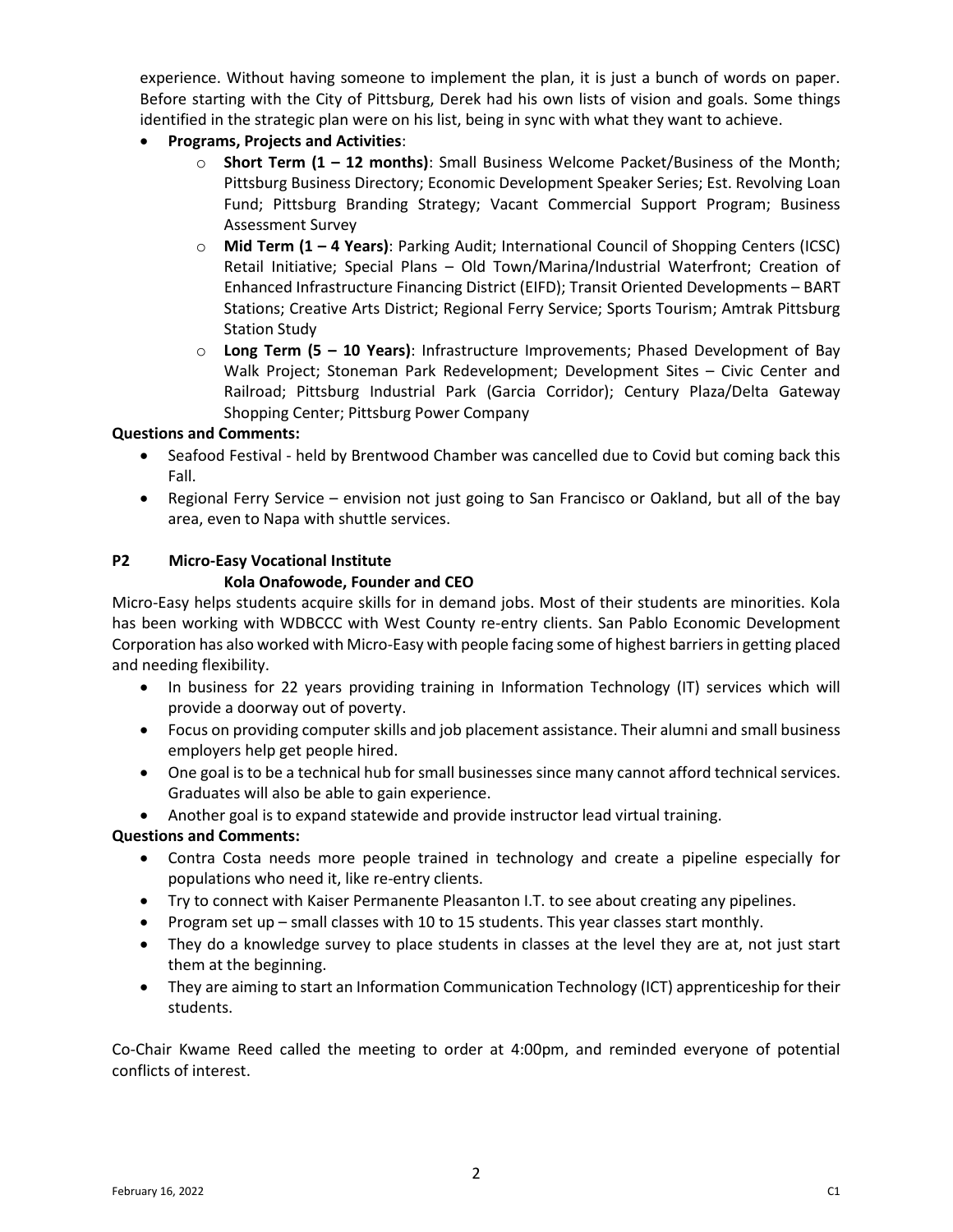experience. Without having someone to implement the plan, it is just a bunch of words on paper. Before starting with the City of Pittsburg, Derek had his own lists of vision and goals. Some things identified in the strategic plan were on his list, being in sync with what they want to achieve.

- **Programs, Projects and Activities**:
	- o **Short Term (1 – 12 months)**: Small Business Welcome Packet/Business of the Month; Pittsburg Business Directory; Economic Development Speaker Series; Est. Revolving Loan Fund; Pittsburg Branding Strategy; Vacant Commercial Support Program; Business Assessment Survey
	- o **Mid Term (1 – 4 Years)**: Parking Audit; International Council of Shopping Centers (ICSC) Retail Initiative; Special Plans – Old Town/Marina/Industrial Waterfront; Creation of Enhanced Infrastructure Financing District (EIFD); Transit Oriented Developments – BART Stations; Creative Arts District; Regional Ferry Service; Sports Tourism; Amtrak Pittsburg Station Study
	- o **Long Term (5 – 10 Years)**: Infrastructure Improvements; Phased Development of Bay Walk Project; Stoneman Park Redevelopment; Development Sites – Civic Center and Railroad; Pittsburg Industrial Park (Garcia Corridor); Century Plaza/Delta Gateway Shopping Center; Pittsburg Power Company

## **Questions and Comments:**

- Seafood Festival held by Brentwood Chamber was cancelled due to Covid but coming back this Fall.
- Regional Ferry Service envision not just going to San Francisco or Oakland, but all of the bay area, even to Napa with shuttle services.

## **P2 Micro-Easy Vocational Institute Kola Onafowode, Founder and CEO**

Micro-Easy helps students acquire skills for in demand jobs. Most of their students are minorities. Kola has been working with WDBCCC with West County re-entry clients. San Pablo Economic Development Corporation has also worked with Micro-Easy with people facing some of highest barriersin getting placed and needing flexibility.

- In business for 22 years providing training in Information Technology (IT) services which will provide a doorway out of poverty.
- Focus on providing computer skills and job placement assistance. Their alumni and small business employers help get people hired.
- One goal is to be a technical hub for small businesses since many cannot afford technical services. Graduates will also be able to gain experience.
- Another goal is to expand statewide and provide instructor lead virtual training.

## **Questions and Comments:**

- Contra Costa needs more people trained in technology and create a pipeline especially for populations who need it, like re-entry clients.
- Try to connect with Kaiser Permanente Pleasanton I.T. to see about creating any pipelines.
- Program set up small classes with 10 to 15 students. This year classes start monthly.
- They do a knowledge survey to place students in classes at the level they are at, not just start them at the beginning.
- They are aiming to start an Information Communication Technology (ICT) apprenticeship for their students.

Co-Chair Kwame Reed called the meeting to order at 4:00pm, and reminded everyone of potential conflicts of interest.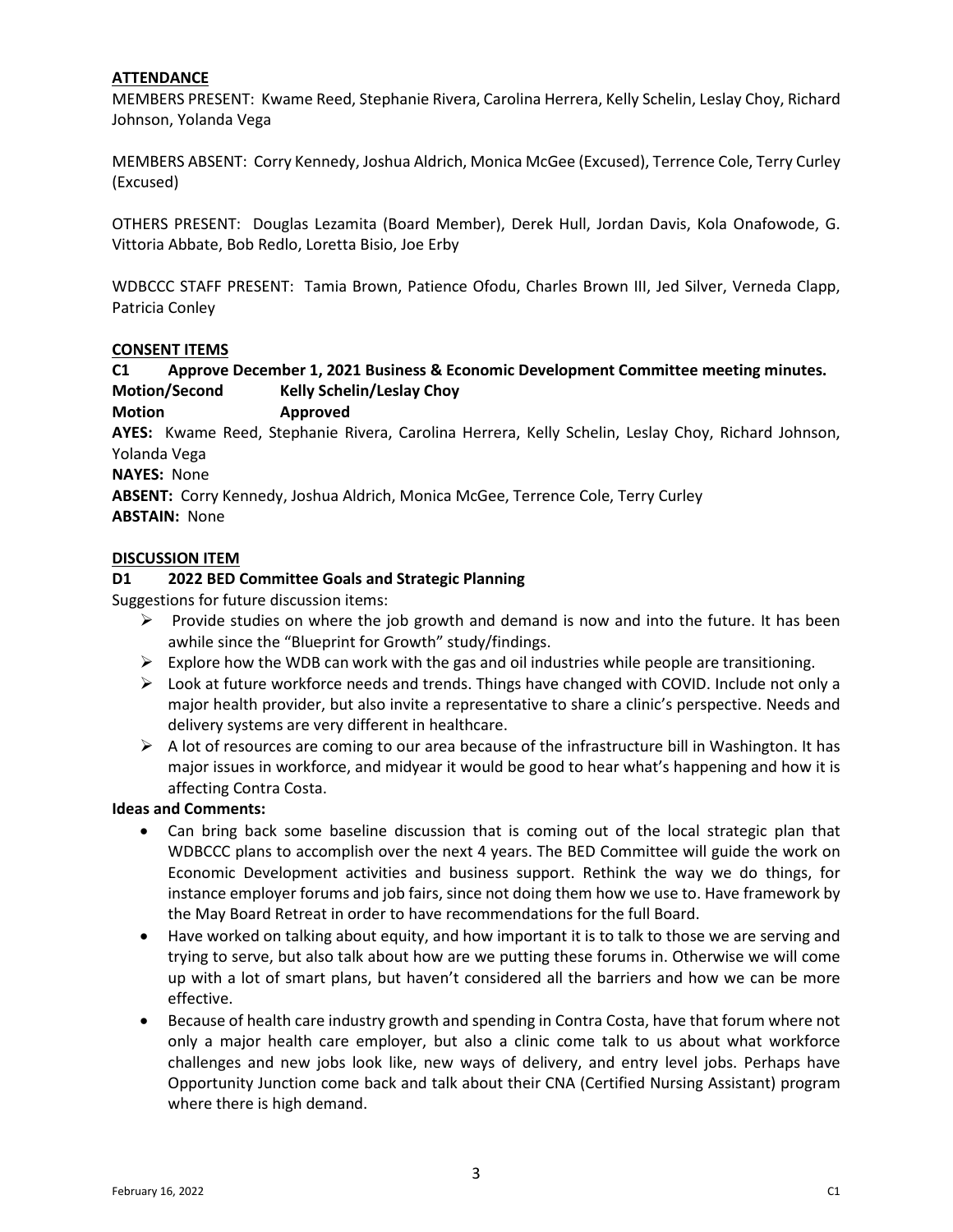## **ATTENDANCE**

MEMBERS PRESENT: Kwame Reed, Stephanie Rivera, Carolina Herrera, Kelly Schelin, Leslay Choy, Richard Johnson, Yolanda Vega

MEMBERS ABSENT: Corry Kennedy, Joshua Aldrich, Monica McGee (Excused), Terrence Cole, Terry Curley (Excused)

OTHERS PRESENT: Douglas Lezamita (Board Member), Derek Hull, Jordan Davis, Kola Onafowode, G. Vittoria Abbate, Bob Redlo, Loretta Bisio, Joe Erby

WDBCCC STAFF PRESENT: Tamia Brown, Patience Ofodu, Charles Brown III, Jed Silver, Verneda Clapp, Patricia Conley

#### **CONSENT ITEMS**

## **C1 Approve December 1, 2021 Business & Economic Development Committee meeting minutes. Motion/Second Kelly Schelin/Leslay Choy**

**Motion Approved**

**AYES:** Kwame Reed, Stephanie Rivera, Carolina Herrera, Kelly Schelin, Leslay Choy, Richard Johnson, Yolanda Vega

**NAYES:** None

**ABSENT:** Corry Kennedy, Joshua Aldrich, Monica McGee, Terrence Cole, Terry Curley **ABSTAIN:** None

#### **DISCUSSION ITEM**

#### **D1 2022 BED Committee Goals and Strategic Planning**

Suggestions for future discussion items:

- $\triangleright$  Provide studies on where the job growth and demand is now and into the future. It has been awhile since the "Blueprint for Growth" study/findings.
- $\triangleright$  Explore how the WDB can work with the gas and oil industries while people are transitioning.
- $\triangleright$  Look at future workforce needs and trends. Things have changed with COVID. Include not only a major health provider, but also invite a representative to share a clinic's perspective. Needs and delivery systems are very different in healthcare.
- $\triangleright$  A lot of resources are coming to our area because of the infrastructure bill in Washington. It has major issues in workforce, and midyear it would be good to hear what's happening and how it is affecting Contra Costa.

## **Ideas and Comments:**

- Can bring back some baseline discussion that is coming out of the local strategic plan that WDBCCC plans to accomplish over the next 4 years. The BED Committee will guide the work on Economic Development activities and business support. Rethink the way we do things, for instance employer forums and job fairs, since not doing them how we use to. Have framework by the May Board Retreat in order to have recommendations for the full Board.
- Have worked on talking about equity, and how important it is to talk to those we are serving and trying to serve, but also talk about how are we putting these forums in. Otherwise we will come up with a lot of smart plans, but haven't considered all the barriers and how we can be more effective.
- Because of health care industry growth and spending in Contra Costa, have that forum where not only a major health care employer, but also a clinic come talk to us about what workforce challenges and new jobs look like, new ways of delivery, and entry level jobs. Perhaps have Opportunity Junction come back and talk about their CNA (Certified Nursing Assistant) program where there is high demand.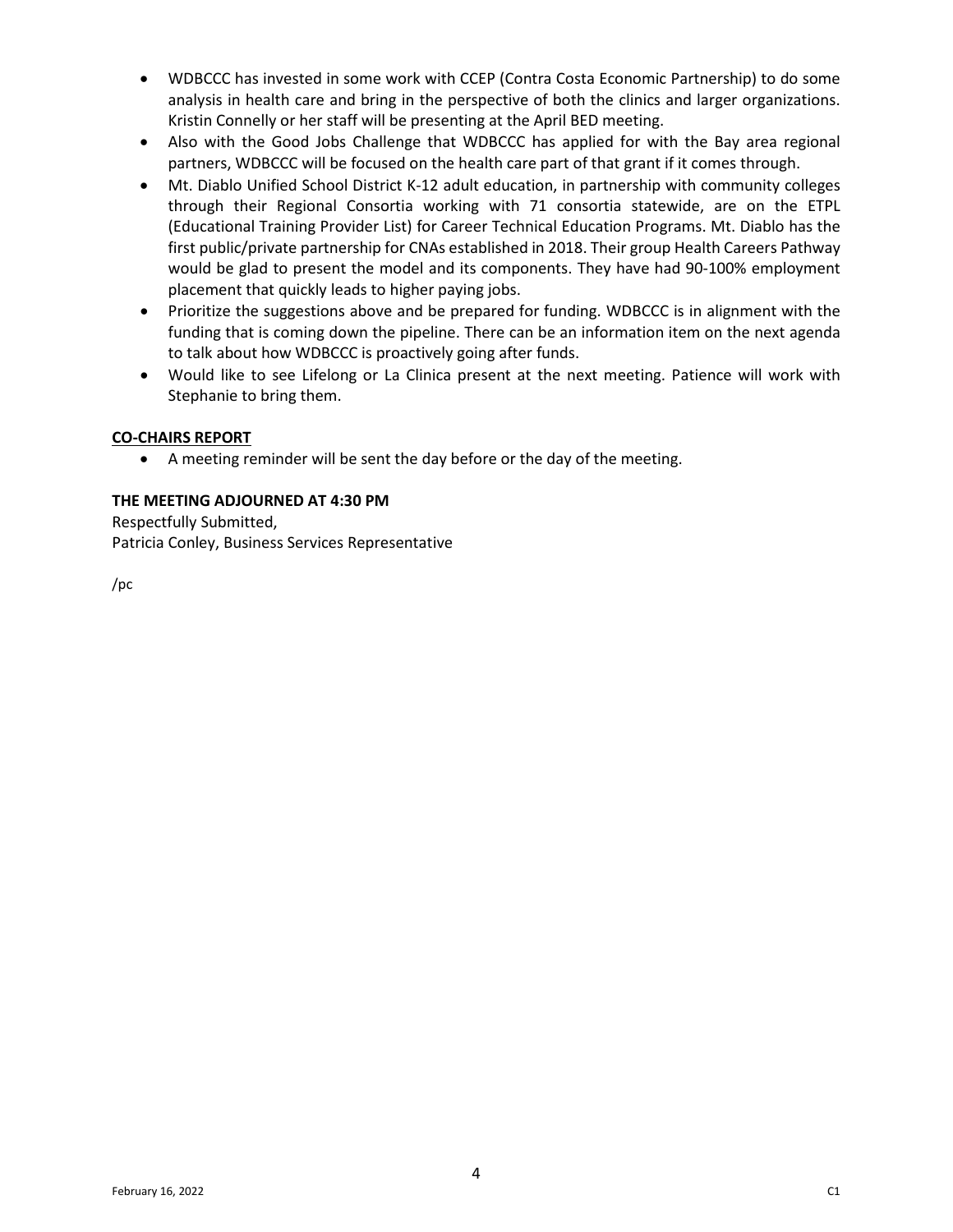- WDBCCC has invested in some work with CCEP (Contra Costa Economic Partnership) to do some analysis in health care and bring in the perspective of both the clinics and larger organizations. Kristin Connelly or her staff will be presenting at the April BED meeting.
- Also with the Good Jobs Challenge that WDBCCC has applied for with the Bay area regional partners, WDBCCC will be focused on the health care part of that grant if it comes through.
- Mt. Diablo Unified School District K-12 adult education, in partnership with community colleges through their Regional Consortia working with 71 consortia statewide, are on the ETPL (Educational Training Provider List) for Career Technical Education Programs. Mt. Diablo has the first public/private partnership for CNAs established in 2018. Their group Health Careers Pathway would be glad to present the model and its components. They have had 90-100% employment placement that quickly leads to higher paying jobs.
- Prioritize the suggestions above and be prepared for funding. WDBCCC is in alignment with the funding that is coming down the pipeline. There can be an information item on the next agenda to talk about how WDBCCC is proactively going after funds.
- Would like to see Lifelong or La Clinica present at the next meeting. Patience will work with Stephanie to bring them.

## **CO-CHAIRS REPORT**

• A meeting reminder will be sent the day before or the day of the meeting.

## **THE MEETING ADJOURNED AT 4:30 PM**

Respectfully Submitted, Patricia Conley, Business Services Representative

/pc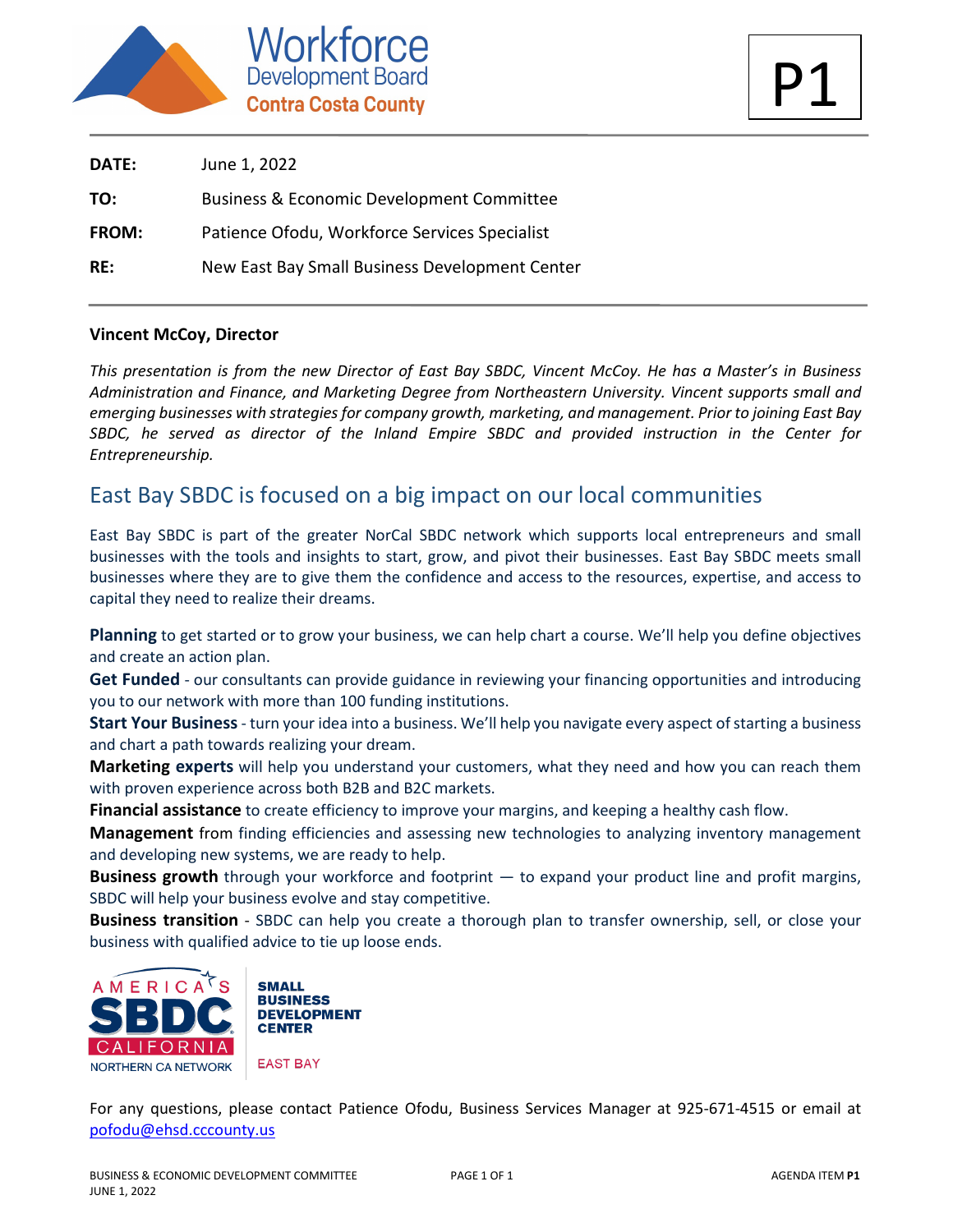

| <b>DATE:</b> | June 1, 2022                                         |
|--------------|------------------------------------------------------|
| TO:          | <b>Business &amp; Economic Development Committee</b> |
| FROM:        | Patience Ofodu, Workforce Services Specialist        |
| RE:          | New East Bay Small Business Development Center       |

## **Vincent McCoy, Director**

*This presentation is from the new Director of East Bay SBDC, Vincent McCoy. He has a Master's in Business Administration and Finance, and Marketing Degree from Northeastern University. Vincent supports small and emerging businesses with strategies for company growth, marketing, and management. Prior to joining East Bay SBDC, he served as director of the Inland Empire SBDC and provided instruction in the Center for Entrepreneurship.* 

# East Bay SBDC is focused on a big impact on our local communities

East Bay SBDC is part of the greater NorCal SBDC network which supports local entrepreneurs and small businesses with the tools and insights to start, grow, and pivot their businesses. East Bay SBDC meets small businesses where they are to give them the confidence and access to the resources, expertise, and access to capital they need to realize their dreams.

**Planning** to get started or to grow your business, we can help chart a course. We'll help you define objectives and create an action plan.

**Get Funded** - our consultants can provide guidance in reviewing your financing opportunities and introducing you to our network with more than 100 funding institutions.

**Start Your Business**- turn your idea into a business. We'll help you navigate every aspect of starting a business and chart a path towards realizing your dream.

**Marketing experts** will help you understand your customers, what they need and how you can reach them with proven experience across both B2B and B2C markets.

**Financial assistance** to create efficiency to improve your margins, and keeping a healthy cash flow.

**Management** from finding efficiencies and assessing new technologies to analyzing inventory management and developing new systems, we are ready to help.

**Business growth** through your workforce and footprint — to expand your product line and profit margins, SBDC will help your business evolve and stay competitive.

**Business transition** - SBDC can help you create a thorough plan to transfer ownership, sell, or close your business with qualified advice to tie up loose ends.





**EAST BAY** 

For any questions, please contact Patience Ofodu, Business Services Manager at 925-671-4515 or email at [pofodu@ehsd.cccounty.us](mailto:pofodu@ehsd.cccounty.us)

P1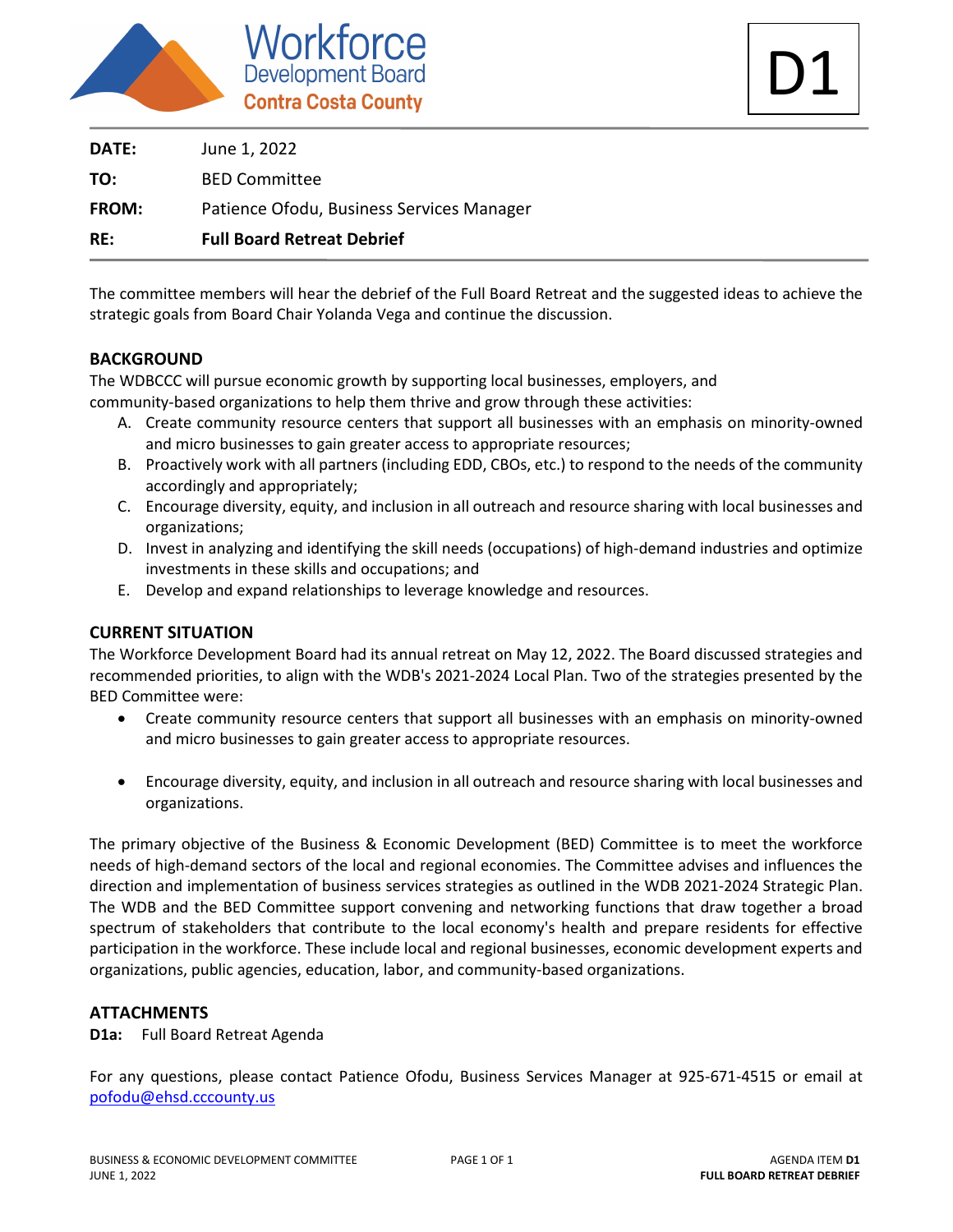

| <b>DATE:</b> | June 1, 2022                              |
|--------------|-------------------------------------------|
| TO:          | <b>BED Committee</b>                      |
| <b>FROM:</b> | Patience Ofodu, Business Services Manager |
| RE:          | <b>Full Board Retreat Debrief</b>         |

The committee members will hear the debrief of the Full Board Retreat and the suggested ideas to achieve the strategic goals from Board Chair Yolanda Vega and continue the discussion.

## **BACKGROUND**

The WDBCCC will pursue economic growth by supporting local businesses, employers, and community-based organizations to help them thrive and grow through these activities:

- A. Create community resource centers that support all businesses with an emphasis on minority-owned and micro businesses to gain greater access to appropriate resources;
- B. Proactively work with all partners (including EDD, CBOs, etc.) to respond to the needs of the community accordingly and appropriately;
- C. Encourage diversity, equity, and inclusion in all outreach and resource sharing with local businesses and organizations;
- D. Invest in analyzing and identifying the skill needs (occupations) of high-demand industries and optimize investments in these skills and occupations; and
- E. Develop and expand relationships to leverage knowledge and resources.

## **CURRENT SITUATION**

The Workforce Development Board had its annual retreat on May 12, 2022. The Board discussed strategies and recommended priorities, to align with the WDB's 2021-2024 Local Plan. Two of the strategies presented by the BED Committee were:

- Create community resource centers that support all businesses with an emphasis on minority-owned and micro businesses to gain greater access to appropriate resources.
- Encourage diversity, equity, and inclusion in all outreach and resource sharing with local businesses and organizations.

The primary objective of the Business & Economic Development (BED) Committee is to meet the workforce needs of high-demand sectors of the local and regional economies. The Committee advises and influences the direction and implementation of business services strategies as outlined in the WDB 2021-2024 Strategic Plan. The WDB and the BED Committee support convening and networking functions that draw together a broad spectrum of stakeholders that contribute to the local economy's health and prepare residents for effective participation in the workforce. These include local and regional businesses, economic development experts and organizations, public agencies, education, labor, and community-based organizations.

## **ATTACHMENTS**

## **D1a:** Full Board Retreat Agenda

For any questions, please contact Patience Ofodu, Business Services Manager at 925-671-4515 or email at [pofodu@ehsd.cccounty.us](mailto:pofodu@ehsd.cccounty.us)